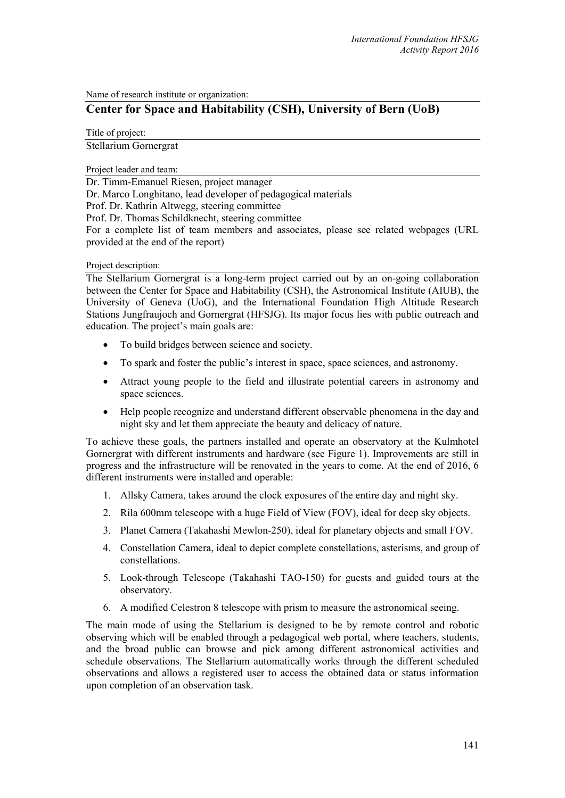Name of research institute or organization:

# **Center for Space and Habitability (CSH), University of Bern (UoB)**

Title of project:

Stellarium Gornergrat

Project leader and team:

Dr. Timm-Emanuel Riesen, project manager Dr. Marco Longhitano, lead developer of pedagogical materials Prof. Dr. Kathrin Altwegg, steering committee Prof. Dr. Thomas Schildknecht, steering committee For a complete list of team members and associates, please see related webpages (URL provided at the end of the report)

### Project description:

The Stellarium Gornergrat is a long-term project carried out by an on-going collaboration between the Center for Space and Habitability (CSH), the Astronomical Institute (AIUB), the University of Geneva (UoG), and the International Foundation High Altitude Research Stations Jungfraujoch and Gornergrat (HFSJG). Its major focus lies with public outreach and education. The project's main goals are:

- To build bridges between science and society.
- To spark and foster the public's interest in space, space sciences, and astronomy.
- Attract young people to the field and illustrate potential careers in astronomy and space sciences.
- Help people recognize and understand different observable phenomena in the day and night sky and let them appreciate the beauty and delicacy of nature.

To achieve these goals, the partners installed and operate an observatory at the Kulmhotel Gornergrat with different instruments and hardware (see Figure 1). Improvements are still in progress and the infrastructure will be renovated in the years to come. At the end of 2016, 6 different instruments were installed and operable:

- 1. Allsky Camera, takes around the clock exposures of the entire day and night sky.
- 2. Rila 600mm telescope with a huge Field of View (FOV), ideal for deep sky objects.
- 3. Planet Camera (Takahashi Mewlon-250), ideal for planetary objects and small FOV.
- 4. Constellation Camera, ideal to depict complete constellations, asterisms, and group of constellations.
- 5. Look-through Telescope (Takahashi TAO-150) for guests and guided tours at the observatory.
- 6. A modified Celestron 8 telescope with prism to measure the astronomical seeing.

The main mode of using the Stellarium is designed to be by remote control and robotic observing which will be enabled through a pedagogical web portal, where teachers, students, and the broad public can browse and pick among different astronomical activities and schedule observations. The Stellarium automatically works through the different scheduled observations and allows a registered user to access the obtained data or status information upon completion of an observation task.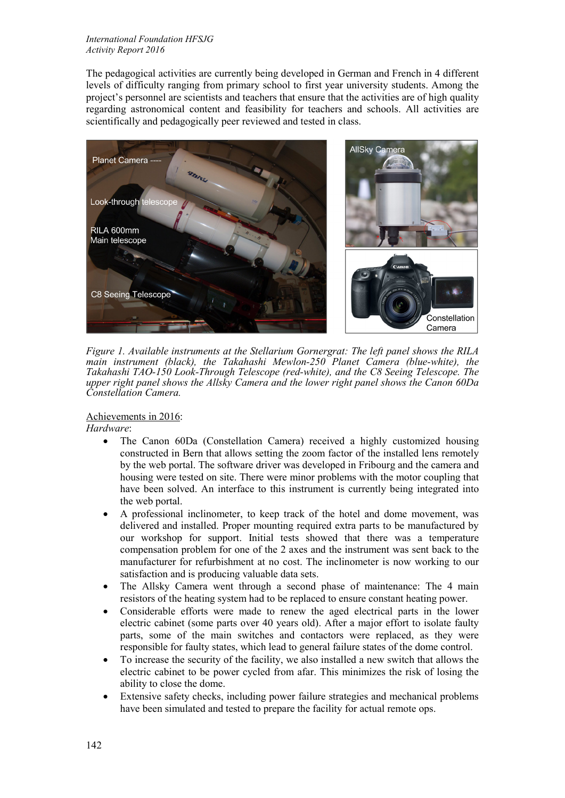#### *International Foundation HFSJG Activity Report 2016*

The pedagogical activities are currently being developed in German and French in 4 different levels of difficulty ranging from primary school to first year university students. Among the project's personnel are scientists and teachers that ensure that the activities are of high quality regarding astronomical content and feasibility for teachers and schools. All activities are scientifically and pedagogically peer reviewed and tested in class.



*Figure 1. Available instruments at the Stellarium Gornergrat: The left panel shows the RILA main instrument (black), the Takahashi Mewlon-250 Planet Camera (blue-white), the Takahashi TAO-150 Look-Through Telescope (red-white), and the C8 Seeing Telescope. The upper right panel shows the Allsky Camera and the lower right panel shows the Canon 60Da Constellation Camera.*

Achievements in 2016:

*Hardware*:

- The Canon 60Da (Constellation Camera) received a highly customized housing constructed in Bern that allows setting the zoom factor of the installed lens remotely by the web portal. The software driver was developed in Fribourg and the camera and housing were tested on site. There were minor problems with the motor coupling that have been solved. An interface to this instrument is currently being integrated into the web portal.
- A professional inclinometer, to keep track of the hotel and dome movement, was delivered and installed. Proper mounting required extra parts to be manufactured by our workshop for support. Initial tests showed that there was a temperature compensation problem for one of the 2 axes and the instrument was sent back to the manufacturer for refurbishment at no cost. The inclinometer is now working to our satisfaction and is producing valuable data sets.
- The Allsky Camera went through a second phase of maintenance: The 4 main resistors of the heating system had to be replaced to ensure constant heating power.
- Considerable efforts were made to renew the aged electrical parts in the lower electric cabinet (some parts over 40 years old). After a major effort to isolate faulty parts, some of the main switches and contactors were replaced, as they were responsible for faulty states, which lead to general failure states of the dome control.
- To increase the security of the facility, we also installed a new switch that allows the electric cabinet to be power cycled from afar. This minimizes the risk of losing the ability to close the dome.
- Extensive safety checks, including power failure strategies and mechanical problems have been simulated and tested to prepare the facility for actual remote ops.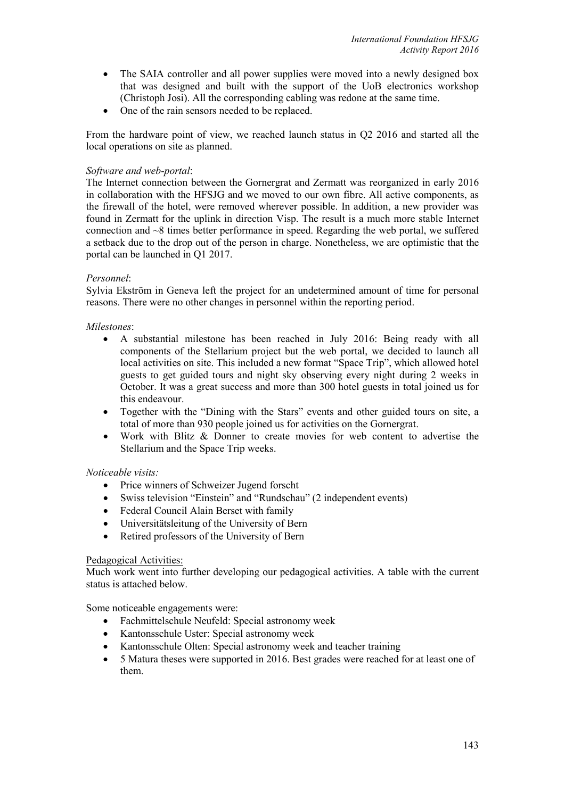- The SAIA controller and all power supplies were moved into a newly designed box that was designed and built with the support of the UoB electronics workshop (Christoph Josi). All the corresponding cabling was redone at the same time.
- One of the rain sensors needed to be replaced.

From the hardware point of view, we reached launch status in Q2 2016 and started all the local operations on site as planned.

# *Software and web-portal*:

The Internet connection between the Gornergrat and Zermatt was reorganized in early 2016 in collaboration with the HFSJG and we moved to our own fibre. All active components, as the firewall of the hotel, were removed wherever possible. In addition, a new provider was found in Zermatt for the uplink in direction Visp. The result is a much more stable Internet connection and ~8 times better performance in speed. Regarding the web portal, we suffered a setback due to the drop out of the person in charge. Nonetheless, we are optimistic that the portal can be launched in Q1 2017.

### *Personnel*:

Sylvia Ekström in Geneva left the project for an undetermined amount of time for personal reasons. There were no other changes in personnel within the reporting period.

### *Milestones*:

- A substantial milestone has been reached in July 2016: Being ready with all components of the Stellarium project but the web portal, we decided to launch all local activities on site. This included a new format "Space Trip", which allowed hotel guests to get guided tours and night sky observing every night during 2 weeks in October. It was a great success and more than 300 hotel guests in total joined us for this endeavour.
- Together with the "Dining with the Stars" events and other guided tours on site, a total of more than 930 people joined us for activities on the Gornergrat.
- Work with Blitz & Donner to create movies for web content to advertise the Stellarium and the Space Trip weeks.

# *Noticeable visits:*

- Price winners of Schweizer Jugend forscht
- Swiss television "Einstein" and "Rundschau" (2 independent events)
- Federal Council Alain Berset with family
- Universitätsleitung of the University of Bern
- Retired professors of the University of Bern

# Pedagogical Activities:

Much work went into further developing our pedagogical activities. A table with the current status is attached below.

Some noticeable engagements were:

- Fachmittelschule Neufeld: Special astronomy week
- Kantonsschule Uster: Special astronomy week
- Kantonsschule Olten: Special astronomy week and teacher training
- 5 Matura theses were supported in 2016. Best grades were reached for at least one of them.